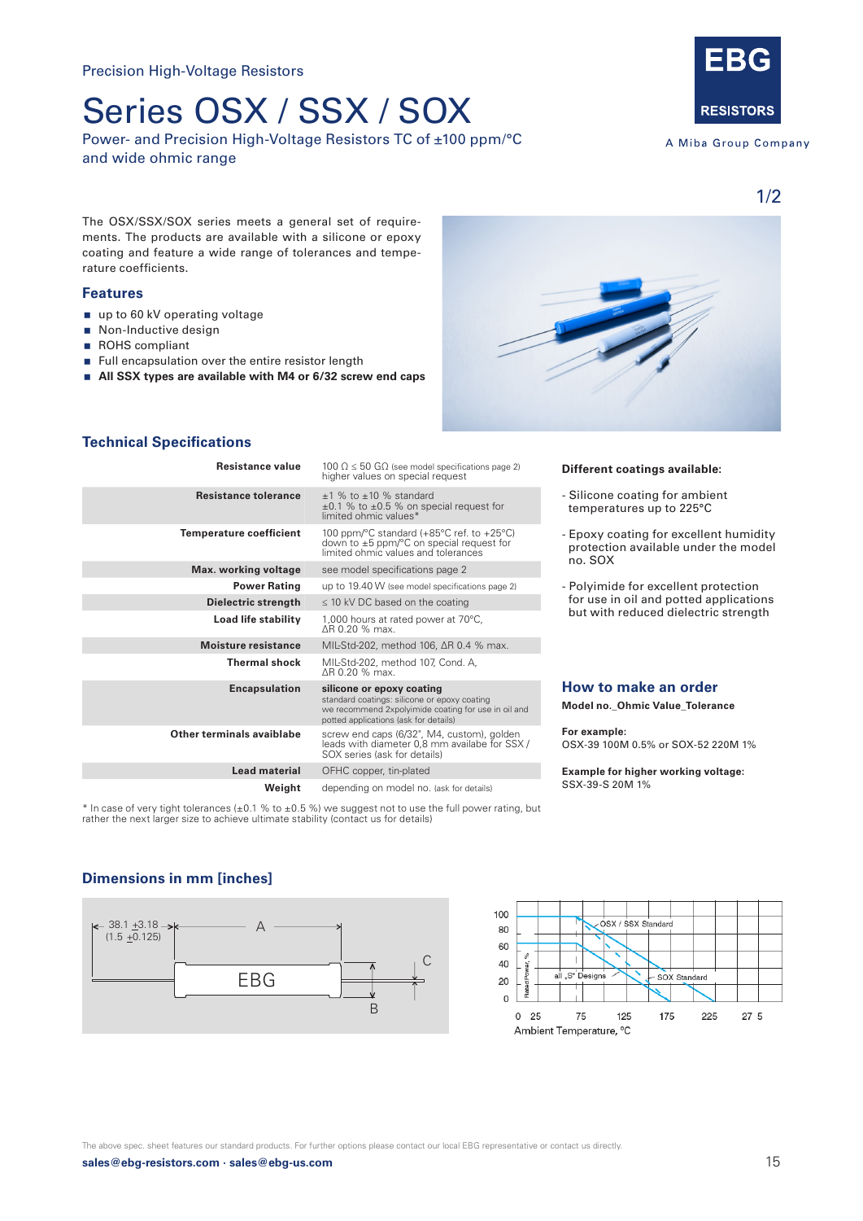# Series OSX / SSX / SOX

Power- and Precision High-Voltage Resistors TC of ±100 ppm/°C and wide ohmic range



A Miba Group Company

1/2

The OSX/SSX/SOX series meets a general set of requirements. The products are available with a silicone or epoxy coating and feature a wide range of tolerances and temperature coefficients.

### **Features**

- up to 60 kV operating voltage
- Non-Inductive design
- ROHS compliant
- Full encapsulation over the entire resistor length
- **All SSX types are available with M4 or 6/32 screw end caps**



### **Technical Specifications**

| <b>Resistance value</b>        | 100 $\Omega \leq 50$ G $\Omega$ (see model specifications page 2)<br>higher values on special request<br>$+1$ % to $+10$ % standard<br>$\pm 0.1$ % to $\pm 0.5$ % on special request for<br>limited ohmic values* |  |  |  |  |
|--------------------------------|-------------------------------------------------------------------------------------------------------------------------------------------------------------------------------------------------------------------|--|--|--|--|
| <b>Resistance tolerance</b>    |                                                                                                                                                                                                                   |  |  |  |  |
| <b>Temperature coefficient</b> | 100 ppm/ $\degree$ C standard (+85 $\degree$ C ref. to +25 $\degree$ C)<br>down to $\pm 5$ ppm/ $\degree$ C on special request for<br>limited ohmic values and tolerances                                         |  |  |  |  |
| Max. working voltage           | see model specifications page 2                                                                                                                                                                                   |  |  |  |  |
| <b>Power Rating</b>            | up to 19.40 W (see model specifications page 2)                                                                                                                                                                   |  |  |  |  |
| Dielectric strength            | $\leq$ 10 kV DC based on the coating                                                                                                                                                                              |  |  |  |  |
| Load life stability            | 1,000 hours at rated power at 70°C,<br>AR 0.20 % max.                                                                                                                                                             |  |  |  |  |
| <b>Moisture resistance</b>     | MIL-Std-202, method 106, ΔR 0.4 % max.                                                                                                                                                                            |  |  |  |  |
| <b>Thermal shock</b>           | MIL-Std-202, method 107, Cond. A,<br>AR 0.20 % max.                                                                                                                                                               |  |  |  |  |
| <b>Encapsulation</b>           | silicone or epoxy coating<br>standard coatings: silicone or epoxy coating<br>we recommend 2xpolyimide coating for use in oil and<br>potted applications (ask for details)                                         |  |  |  |  |
| Other terminals avaiblabe      | screw end caps (6/32", M4, custom), golden<br>leads with diameter 0.8 mm availabe for SSX /<br>SOX series (ask for details)                                                                                       |  |  |  |  |
| Lead material                  | OFHC copper, tin-plated                                                                                                                                                                                           |  |  |  |  |
| Weight                         | depending on model no. (ask for details)                                                                                                                                                                          |  |  |  |  |

\* In case of very tight tolerances (±0.1 % to ±0.5 %) we suggest not to use the full power rating, but rather the next larger size to achieve ultimate stability (contact us for details)

#### **Different coatings available:**

- Silicone coating for ambient temperatures up to 225°C
- Epoxy coating for excellent humidity protection available under the model no. SOX
- Polyimide for excellent protection for use in oil and potted applications but with reduced dielectric strength

#### **How to make an order**

**Model no.\_Ohmic Value\_Tolerance** 

**For example:**  OSX-39 100M 0.5% or SOX-52 220M 1%

**Example for higher working voltage:** SSX-39-S 20M 1%

# **Dimensions in mm [inches]**





**sales@ebg-resistors.com · sales@ebg-us.com** 15 The above spec. sheet features our standard products. For further options please contact our local EBG representative or contact us directly.